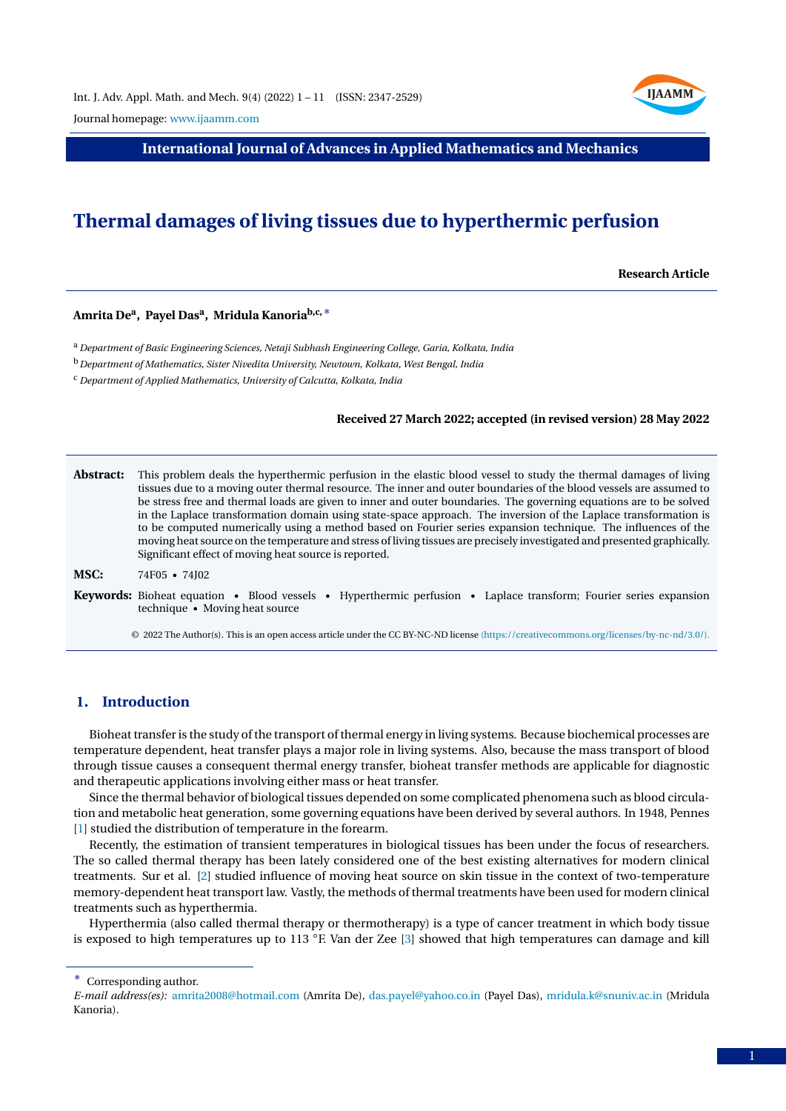

Journal homepage: [www.ijaamm.com](http://www.ijaamm.com/)

**International Journal of Advances in Applied Mathematics and Mechanics**

# **Thermal damages of living tissues due to hyperthermic perfusion**

**Research Article**

# **Amrita De<sup>a</sup> , Payel Das<sup>a</sup> , Mridula Kanoriab,c,**<sup>∗</sup>

<sup>a</sup> *Department of Basic Engineering Sciences, Netaji Subhash Engineering College, Garia, Kolkata, India*

<sup>b</sup>*Department of Mathematics, Sister Nivedita University, Newtown, Kolkata, West Bengal, India*

<sup>c</sup> *Department of Applied Mathematics, University of Calcutta, Kolkata, India*

#### **Received 27 March 2022; accepted (in revised version) 28 May 2022**

**Abstract:** This problem deals the hyperthermic perfusion in the elastic blood vessel to study the thermal damages of living tissues due to a moving outer thermal resource. The inner and outer boundaries of the blood vessels are assumed to be stress free and thermal loads are given to inner and outer boundaries. The governing equations are to be solved in the Laplace transformation domain using state-space approach. The inversion of the Laplace transformation is to be computed numerically using a method based on Fourier series expansion technique. The influences of the moving heat source on the temperature and stress of living tissues are precisely investigated and presented graphically. Significant effect of moving heat source is reported.

**MSC:** 74F05 • 74J02

**Keywords:** Bioheat equation • Blood vessels • Hyperthermic perfusion • Laplace transform; Fourier series expansion technique • Moving heat source

© 2022 The Author(s). This is an open access article under the CC BY-NC-ND license [\(https://creativecommons.org/licenses/by-nc-nd/3.0/\).](https://creativecommons.org/licenses/by-nc-nd/3.0/)

# **1. Introduction**

Bioheat transfer is the study of the transport of thermal energy in living systems. Because biochemical processes are temperature dependent, heat transfer plays a major role in living systems. Also, because the mass transport of blood through tissue causes a consequent thermal energy transfer, bioheat transfer methods are applicable for diagnostic and therapeutic applications involving either mass or heat transfer.

Since the thermal behavior of biological tissues depended on some complicated phenomena such as blood circulation and metabolic heat generation, some governing equations have been derived by several authors. In 1948, Pennes [\[1\]](#page-9-0) studied the distribution of temperature in the forearm.

Recently, the estimation of transient temperatures in biological tissues has been under the focus of researchers. The so called thermal therapy has been lately considered one of the best existing alternatives for modern clinical treatments. Sur et al. [\[2\]](#page-9-1) studied influence of moving heat source on skin tissue in the context of two-temperature memory-dependent heat transport law. Vastly, the methods of thermal treatments have been used for modern clinical treatments such as hyperthermia.

Hyperthermia (also called thermal therapy or thermotherapy) is a type of cancer treatment in which body tissue is exposed to high temperatures up to 113 ◦F. Van der Zee [\[3\]](#page-9-2) showed that high temperatures can damage and kill

<sup>∗</sup> Corresponding author.

*E-mail address(es):* [amrita2008@hotmail.com](mailto:amrita2008@hotmail.com) (Amrita De), [das.payel@yahoo.co.in](mailto:das.payel@yahoo.co.in) (Payel Das), [mridula.k@snuniv.ac.in](mailto:mridula.k@snuniv.ac.in) (Mridula Kanoria).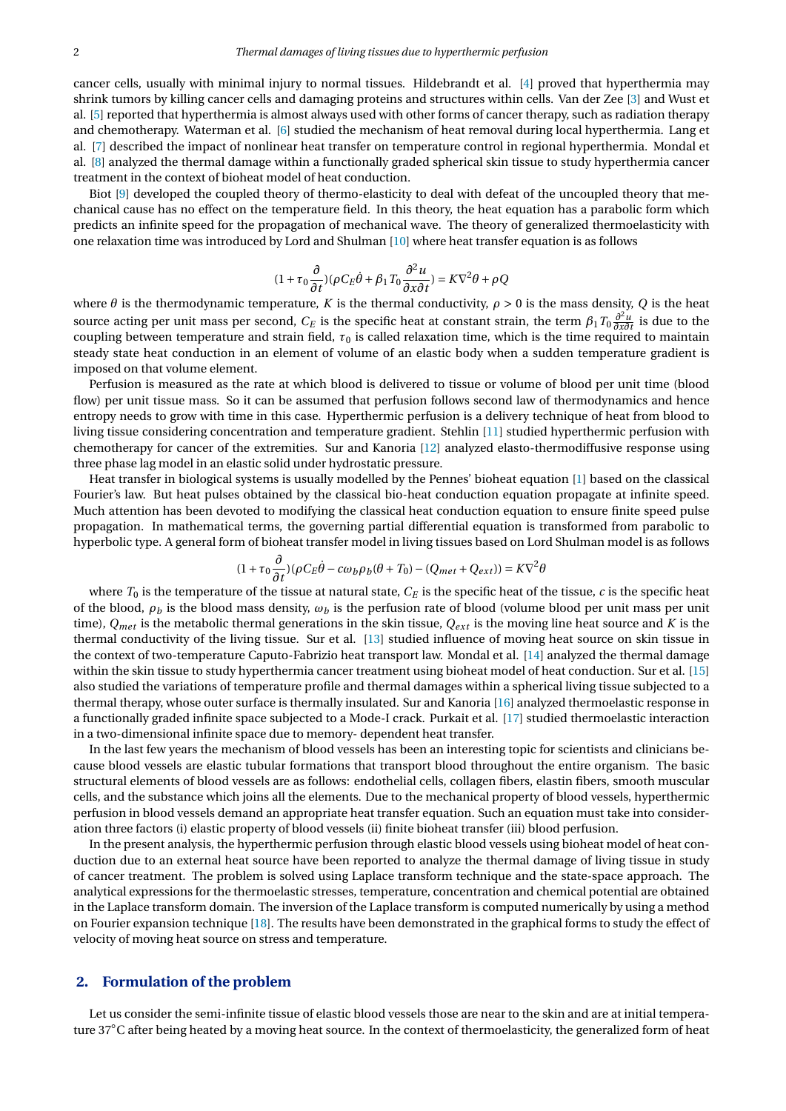cancer cells, usually with minimal injury to normal tissues. Hildebrandt et al. [\[4\]](#page-9-3) proved that hyperthermia may shrink tumors by killing cancer cells and damaging proteins and structures within cells. Van der Zee [\[3\]](#page-9-2) and Wust et al. [\[5\]](#page-9-4) reported that hyperthermia is almost always used with other forms of cancer therapy, such as radiation therapy and chemotherapy. Waterman et al. [\[6\]](#page-9-5) studied the mechanism of heat removal during local hyperthermia. Lang et al. [\[7\]](#page-10-0) described the impact of nonlinear heat transfer on temperature control in regional hyperthermia. Mondal et al. [\[8\]](#page-10-1) analyzed the thermal damage within a functionally graded spherical skin tissue to study hyperthermia cancer treatment in the context of bioheat model of heat conduction.

Biot [\[9\]](#page-10-2) developed the coupled theory of thermo-elasticity to deal with defeat of the uncoupled theory that mechanical cause has no effect on the temperature field. In this theory, the heat equation has a parabolic form which predicts an infinite speed for the propagation of mechanical wave. The theory of generalized thermoelasticity with one relaxation time was introduced by Lord and Shulman [\[10\]](#page-10-3) where heat transfer equation is as follows

$$
(1 + \tau_0 \frac{\partial}{\partial t}) (\rho C_E \dot{\theta} + \beta_1 T_0 \frac{\partial^2 u}{\partial x \partial t}) = K \nabla^2 \theta + \rho Q
$$

where  $\theta$  is the thermodynamic temperature, *K* is the thermal conductivity,  $\rho > 0$  is the mass density, *Q* is the heat source acting per unit mass per second,  $C_E$  is the specific heat at constant strain, the term  $\beta_1 T_0 \frac{\partial^2 u}{\partial x \partial t}$  is due to the coupling between temperature and strain field,  $\tau_0$  is called relaxation time, which is the time required to maintain steady state heat conduction in an element of volume of an elastic body when a sudden temperature gradient is imposed on that volume element.

Perfusion is measured as the rate at which blood is delivered to tissue or volume of blood per unit time (blood flow) per unit tissue mass. So it can be assumed that perfusion follows second law of thermodynamics and hence entropy needs to grow with time in this case. Hyperthermic perfusion is a delivery technique of heat from blood to living tissue considering concentration and temperature gradient. Stehlin [\[11\]](#page-10-4) studied hyperthermic perfusion with chemotherapy for cancer of the extremities. Sur and Kanoria [\[12\]](#page-10-5) analyzed elasto-thermodiffusive response using three phase lag model in an elastic solid under hydrostatic pressure.

Heat transfer in biological systems is usually modelled by the Pennes' bioheat equation [\[1\]](#page-9-0) based on the classical Fourier's law. But heat pulses obtained by the classical bio-heat conduction equation propagate at infinite speed. Much attention has been devoted to modifying the classical heat conduction equation to ensure finite speed pulse propagation. In mathematical terms, the governing partial differential equation is transformed from parabolic to hyperbolic type. A general form of bioheat transfer model in living tissues based on Lord Shulman model is as follows

$$
(1 + \tau_0 \frac{\partial}{\partial t}) (\rho C_E \dot{\theta} - c\omega_b \rho_b (\theta + T_0) - (Q_{met} + Q_{ext})) = K \nabla^2 \theta
$$

where  $T_0$  is the temperature of the tissue at natural state,  $C_E$  is the specific heat of the tissue,  $c$  is the specific heat of the blood,  $\rho_b$  is the blood mass density,  $\omega_b$  is the perfusion rate of blood (volume blood per unit mass per unit time),  $Q_{met}$  is the metabolic thermal generations in the skin tissue,  $Q_{ext}$  is the moving line heat source and *K* is the thermal conductivity of the living tissue. Sur et al. [\[13\]](#page-10-6) studied influence of moving heat source on skin tissue in the context of two-temperature Caputo-Fabrizio heat transport law. Mondal et al. [\[14\]](#page-10-7) analyzed the thermal damage within the skin tissue to study hyperthermia cancer treatment using bioheat model of heat conduction. Sur et al. [\[15\]](#page-10-8) also studied the variations of temperature profile and thermal damages within a spherical living tissue subjected to a thermal therapy, whose outer surface is thermally insulated. Sur and Kanoria [\[16\]](#page-10-9) analyzed thermoelastic response in a functionally graded infinite space subjected to a Mode-I crack. Purkait et al. [\[17\]](#page-10-10) studied thermoelastic interaction in a two-dimensional infinite space due to memory- dependent heat transfer.

In the last few years the mechanism of blood vessels has been an interesting topic for scientists and clinicians because blood vessels are elastic tubular formations that transport blood throughout the entire organism. The basic structural elements of blood vessels are as follows: endothelial cells, collagen fibers, elastin fibers, smooth muscular cells, and the substance which joins all the elements. Due to the mechanical property of blood vessels, hyperthermic perfusion in blood vessels demand an appropriate heat transfer equation. Such an equation must take into consideration three factors (i) elastic property of blood vessels (ii) finite bioheat transfer (iii) blood perfusion.

In the present analysis, the hyperthermic perfusion through elastic blood vessels using bioheat model of heat conduction due to an external heat source have been reported to analyze the thermal damage of living tissue in study of cancer treatment. The problem is solved using Laplace transform technique and the state-space approach. The analytical expressions for the thermoelastic stresses, temperature, concentration and chemical potential are obtained in the Laplace transform domain. The inversion of the Laplace transform is computed numerically by using a method on Fourier expansion technique [\[18\]](#page-10-11). The results have been demonstrated in the graphical forms to study the effect of velocity of moving heat source on stress and temperature.

### **2. Formulation of the problem**

Let us consider the semi-infinite tissue of elastic blood vessels those are near to the skin and are at initial temperature 37◦C after being heated by a moving heat source. In the context of thermoelasticity, the generalized form of heat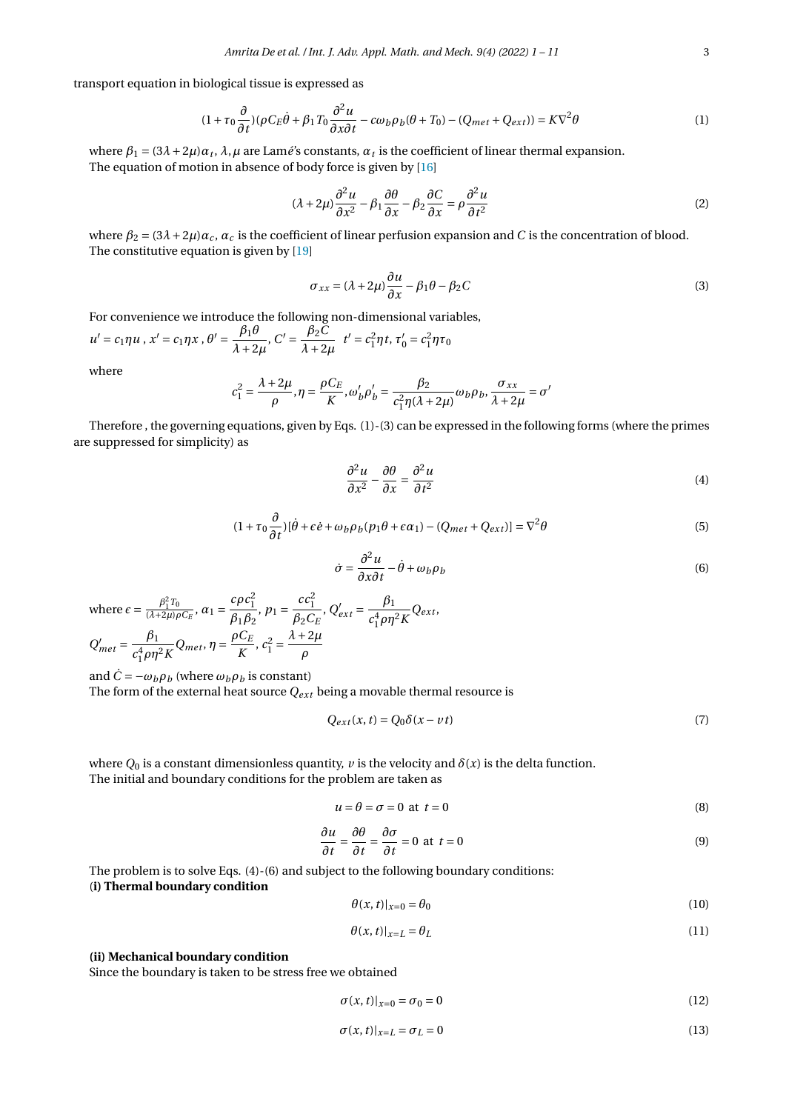transport equation in biological tissue is expressed as

$$
(1 + \tau_0 \frac{\partial}{\partial t}) (\rho C_E \dot{\theta} + \beta_1 T_0 \frac{\partial^2 u}{\partial x \partial t} - c \omega_b \rho_b (\theta + T_0) - (Q_{met} + Q_{ext})) = K \nabla^2 \theta
$$
\n(1)

where  $\beta_1 = (3\lambda + 2\mu)\alpha_t$ ,  $\lambda$ ,  $\mu$  are Lamé's constants,  $\alpha_t$  is the coefficient of linear thermal expansion. The equation of motion in absence of body force is given by [\[16\]](#page-10-9)

$$
(\lambda + 2\mu)\frac{\partial^2 u}{\partial x^2} - \beta_1 \frac{\partial \theta}{\partial x} - \beta_2 \frac{\partial C}{\partial x} = \rho \frac{\partial^2 u}{\partial t^2}
$$
 (2)

where  $\beta_2 = (3\lambda + 2\mu)\alpha_c$ ,  $\alpha_c$  is the coefficient of linear perfusion expansion and *C* is the concentration of blood. The constitutive equation is given by [\[19\]](#page-10-12)

$$
\sigma_{xx} = (\lambda + 2\mu) \frac{\partial u}{\partial x} - \beta_1 \theta - \beta_2 C \tag{3}
$$

For convenience we introduce the following non-dimensional variables,

 $u' = c_1 \eta u$ ,  $x' = c_1 \eta x$ ,  $\theta' = \frac{\beta_1 \theta}{\beta_1 \beta_2}$  $\frac{\beta_1 \theta}{\lambda + 2\mu}$ ,  $C' = \frac{\beta_2 C}{\lambda + 2}$  $\frac{p_2 c}{\lambda + 2\mu}$  *t'* =  $c_1^2 \eta t$ ,  $\tau'_0 = c_1^2 \eta \tau_0$ 

where

$$
c_1^2 = \frac{\lambda + 2\mu}{\rho}, \eta = \frac{\rho C_E}{K}, \omega'_b \rho'_b = \frac{\beta_2}{c_1^2 \eta (\lambda + 2\mu)} \omega_b \rho_b, \frac{\sigma_{xx}}{\lambda + 2\mu} = \sigma'
$$

Therefore , the governing equations, given by Eqs. (1)-(3) can be expressed in the following forms (where the primes are suppressed for simplicity) as

$$
\frac{\partial^2 u}{\partial x^2} - \frac{\partial \theta}{\partial x} = \frac{\partial^2 u}{\partial t^2}
$$
 (4)

$$
(1 + \tau_0 \frac{\partial}{\partial t})[\dot{\theta} + \epsilon \dot{e} + \omega_b \rho_b(p_1 \theta + \epsilon \alpha_1) - (Q_{met} + Q_{ext})] = \nabla^2 \theta \tag{5}
$$

$$
\dot{\sigma} = \frac{\partial^2 u}{\partial x \partial t} - \dot{\theta} + \omega_b \rho_b \tag{6}
$$

where 
$$
\epsilon = \frac{\beta_1^2 T_0}{(\lambda + 2\mu)\rho C_E}
$$
,  $\alpha_1 = \frac{c\rho c_1^2}{\beta_1 \beta_2}$ ,  $p_1 = \frac{c c_1^2}{\beta_2 C_E}$ ,  $Q'_{ext} = \frac{\beta_1}{c_1^4 \rho \eta^2 K} Q_{ext}$ ,  
\n $Q'_{met} = \frac{\beta_1}{c_1^4 \rho \eta^2 K} Q_{met}$ ,  $\eta = \frac{\rho C_E}{K}$ ,  $c_1^2 = \frac{\lambda + 2\mu}{\rho}$ 

and  $\dot{C} = -\omega_b \rho_b$  (where  $\omega_b \rho_b$  is constant) The form of the external heat source  $Q_{ext}$  being a movable thermal resource is

$$
Q_{ext}(x,t) = Q_0 \delta(x - vt) \tag{7}
$$

where  $Q_0$  is a constant dimensionless quantity,  $\nu$  is the velocity and  $\delta(x)$  is the delta function. The initial and boundary conditions for the problem are taken as

$$
u = \theta = \sigma = 0 \text{ at } t = 0 \tag{8}
$$

$$
\frac{\partial u}{\partial t} = \frac{\partial \theta}{\partial t} = \frac{\partial \sigma}{\partial t} = 0 \text{ at } t = 0
$$
 (9)

The problem is to solve Eqs. (4)-(6) and subject to the following boundary conditions: (**i) Thermal boundary condition**

$$
\theta(x,t)|_{x=0} = \theta_0 \tag{10}
$$

$$
\theta(x,t)|_{x=L} = \theta_L \tag{11}
$$

#### **(ii) Mechanical boundary condition**

Since the boundary is taken to be stress free we obtained

$$
\sigma(x,t)|_{x=0} = \sigma_0 = 0 \tag{12}
$$

$$
\sigma(x,t)|_{x=L} = \sigma_L = 0 \tag{13}
$$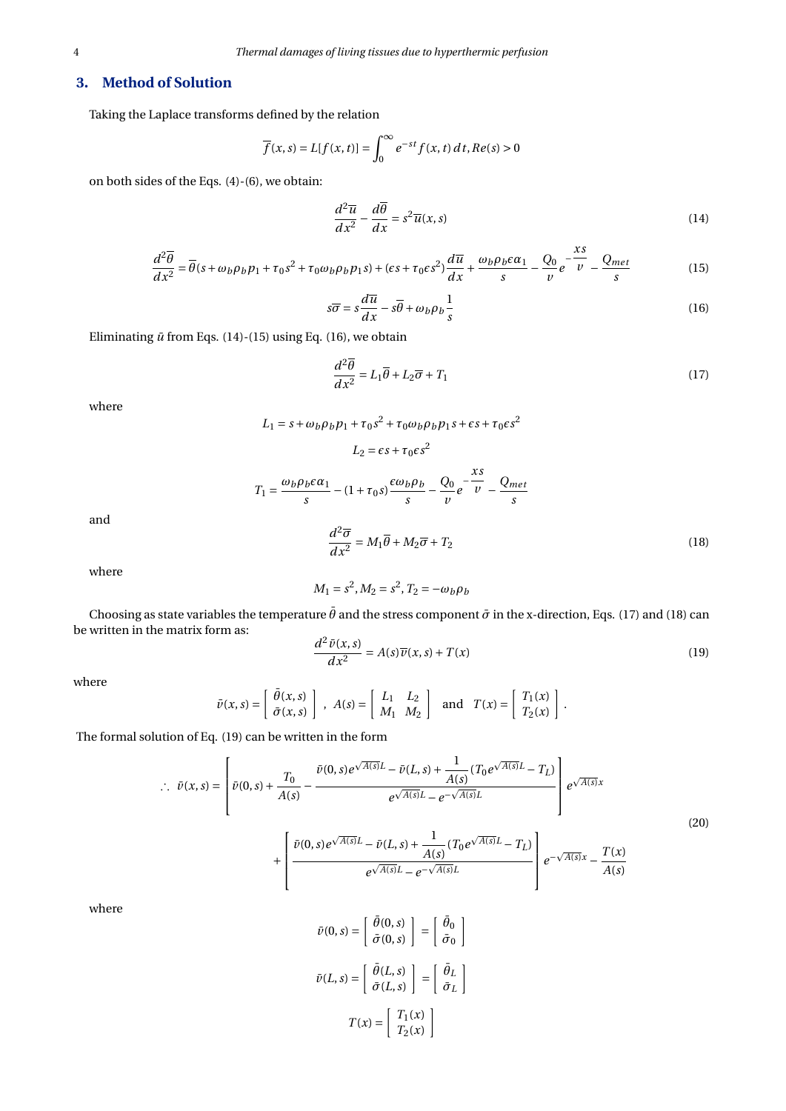# **3. Method of Solution**

Taking the Laplace transforms defined by the relation

$$
\overline{f}(x,s) = L[f(x,t)] = \int_0^\infty e^{-st} f(x,t) dt, Re(s) > 0
$$

on both sides of the Eqs. (4)-(6), we obtain:

$$
\frac{d^2\overline{u}}{dx^2} - \frac{d\overline{\theta}}{dx} = s^2 \overline{u}(x, s)
$$
\n(14)

$$
\frac{d^2\overline{\theta}}{dx^2} = \overline{\theta}(s + \omega_b \rho_b p_1 + \tau_0 s^2 + \tau_0 \omega_b \rho_b p_1 s) + (\epsilon s + \tau_0 \epsilon s^2) \frac{d\overline{u}}{dx} + \frac{\omega_b \rho_b \epsilon \alpha_1}{s} - \frac{Q_0}{v} e^{-\frac{xs}{v}} - \frac{Q_{met}}{s}
$$
(15)

$$
s\overline{\sigma} = s\frac{d\overline{u}}{dx} - s\overline{\theta} + \omega_b \rho_b \frac{1}{s}
$$
 (16)

Eliminating  $\bar{u}$  from Eqs. (14)-(15) using Eq. (16), we obtain

$$
\frac{d^2\overline{\theta}}{dx^2} = L_1\overline{\theta} + L_2\overline{\sigma} + T_1
$$
\n(17)

where

 $L_1 = s + \omega_b \rho_b p_1 + \tau_0 s^2 + \tau_0 \omega_b \rho_b p_1 s + \epsilon s + \tau_0 \epsilon s^2$ 

$$
L_2 = \epsilon s + \tau_0 \epsilon s^2
$$
  

$$
T_1 = \frac{\omega_b \rho_b \epsilon \alpha_1}{s} - (1 + \tau_0 s) \frac{\epsilon \omega_b \rho_b}{s} - \frac{Q_0}{\nu} e^{-\frac{\chi s}{\nu}} - \frac{Q_{met}}{s}
$$
  

$$
\frac{d^2 \overline{\sigma}}{d\omega^2} = M_1 \overline{\theta} + M_2 \overline{\sigma} + T_2
$$
 (18)

and

where

 $dx^2$ 

 $M_1 = s^2, M_2 = s^2, T_2 = -\omega_b \rho_b$ 

Choosing as state variables the temperature  $\bar{\theta}$  and the stress component  $\bar{\sigma}$  in the x-direction, Eqs. (17) and (18) can be written in the matrix form as:

$$
\frac{d^2\,\bar{v}(x,s)}{dx^2} = A(s)\,\overline{v}(x,s) + T(x) \tag{19}
$$

where

$$
\bar{\nu}(x,s) = \left[ \begin{array}{c} \bar{\theta}(x,s) \\ \bar{\sigma}(x,s) \end{array} \right], \ A(s) = \left[ \begin{array}{cc} L_1 & L_2 \\ M_1 & M_2 \end{array} \right] \ \text{ and } \ T(x) = \left[ \begin{array}{c} T_1(x) \\ T_2(x) \end{array} \right].
$$

The formal solution of Eq. (19) can be written in the form

$$
\therefore \quad \bar{v}(x,s) = \left[ \bar{v}(0,s) + \frac{T_0}{A(s)} - \frac{\bar{v}(0,s)e^{\sqrt{A(s)}L} - \bar{v}(L,s) + \frac{1}{A(s)}(T_0e^{\sqrt{A(s)}L} - T_L)}{e^{\sqrt{A(s)}L} - e^{-\sqrt{A(s)}L}} \right] e^{\sqrt{A(s)}x} + \left[ \frac{\bar{v}(0,s)e^{\sqrt{A(s)}L} - \bar{v}(L,s) + \frac{1}{A(s)}(T_0e^{\sqrt{A(s)}L} - T_L)}{e^{\sqrt{A(s)}L} - e^{-\sqrt{A(s)}L}} \right] e^{-\sqrt{A(s)}x} - \frac{T(x)}{A(s)}
$$
\n(20)

where

$$
\bar{\nu}(0, s) = \begin{bmatrix} \bar{\theta}(0, s) \\ \bar{\sigma}(0, s) \end{bmatrix} = \begin{bmatrix} \bar{\theta}_0 \\ \bar{\sigma}_0 \end{bmatrix}
$$

$$
\bar{\nu}(L, s) = \begin{bmatrix} \bar{\theta}(L, s) \\ \bar{\sigma}(L, s) \end{bmatrix} = \begin{bmatrix} \bar{\theta}_L \\ \bar{\sigma}_L \end{bmatrix}
$$

$$
T(x) = \begin{bmatrix} T_1(x) \\ T_2(x) \end{bmatrix}
$$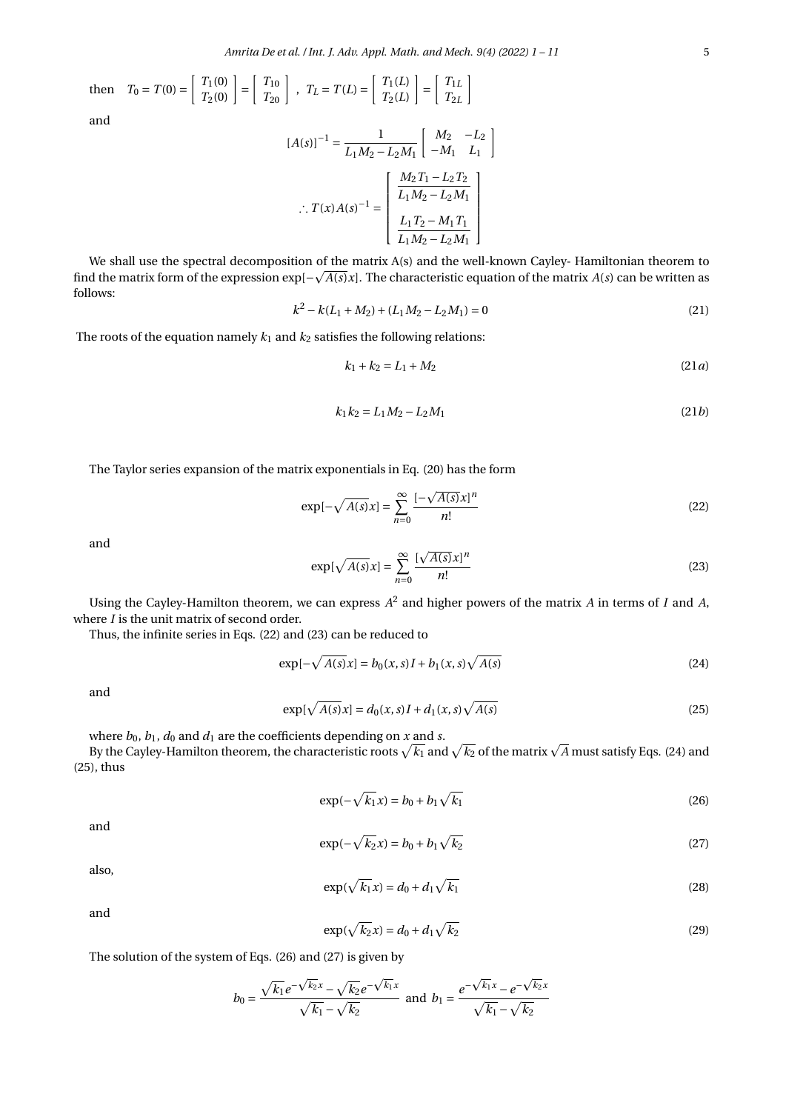then 
$$
T_0 = T(0) = \begin{bmatrix} T_1(0) \\ T_2(0) \end{bmatrix} = \begin{bmatrix} T_{10} \\ T_{20} \end{bmatrix}
$$
,  $T_L = T(L) = \begin{bmatrix} T_1(L) \\ T_2(L) \end{bmatrix} = \begin{bmatrix} T_{1L} \\ T_{2L} \end{bmatrix}$   
and  

$$
[A(s)]^{-1} = \frac{1}{\begin{bmatrix} M_2 & -L_2 \end{bmatrix}}
$$

$$
[A(s)]^{-1} = \frac{1}{L_1 M_2 - L_2 M_1} \begin{bmatrix} M_2 & -L_2 \\ -M_1 & L_1 \end{bmatrix}
$$

$$
\therefore T(x)A(s)^{-1} = \begin{bmatrix} \frac{M_2 T_1 - L_2 T_2}{L_1 M_2 - L_2 M_1} \\ \frac{L_1 T_2 - M_1 T_1}{L_1 M_2 - L_2 M_1} \end{bmatrix}
$$

We shall use the spectral decomposition of the matrix A(s) and the well-known Cayley- Hamiltonian theorem to p find the matrix form of the expression exp[− $\sqrt{A(s)}x$ ]. The characteristic equation of the matrix  $A(s)$  can be written as follows:

$$
k^2 - k(L_1 + M_2) + (L_1 M_2 - L_2 M_1) = 0
$$
\n(21)

The roots of the equation namely  $k_1$  and  $k_2$  satisfies the following relations:

$$
k_1 + k_2 = L_1 + M_2 \tag{21a}
$$

$$
k_1 k_2 = L_1 M_2 - L_2 M_1 \tag{21b}
$$

The Taylor series expansion of the matrix exponentials in Eq. (20) has the form

$$
\exp[-\sqrt{A(s)}x] = \sum_{n=0}^{\infty} \frac{[-\sqrt{A(s)}x]^n}{n!}
$$
\n(22)

and

$$
\exp[\sqrt{A(s)}x] = \sum_{n=0}^{\infty} \frac{[\sqrt{A(s)}x]^n}{n!}
$$
 (23)

Using the Cayley-Hamilton theorem, we can express *A* 2 and higher powers of the matrix *A* in terms of *I* and *A*, where *I* is the unit matrix of second order.

Thus, the infinite series in Eqs. (22) and (23) can be reduced to

$$
\exp[-\sqrt{A(s)}x] = b_0(x,s)I + b_1(x,s)\sqrt{A(s)}\tag{24}
$$

and

$$
\exp[\sqrt{A(s)}x] = d_0(x,s)I + d_1(x,s)\sqrt{A(s)}
$$
\n(25)

where  $b_0$ ,  $b_1$ ,  $d_0$  and  $d_1$  are the coefficients depending on *x* and *s*.

where  $b_0$ ,  $b_1$ ,  $d_0$  and  $d_1$  are the coefficients depending on  $x$  and  $s$ .<br>By the Cayley-Hamilton theorem, the characteristic roots  $\sqrt{k_1}$  and  $\sqrt{k_2}$  of the matrix  $\sqrt{A}$  must satisfy Eqs. (24) and (25), thus

$$
\exp(-\sqrt{k_1}x) = b_0 + b_1\sqrt{k_1}
$$
 (26)

and

$$
\exp(-\sqrt{k_2}x) = b_0 + b_1\sqrt{k_2} \tag{27}
$$

also,

$$
\exp(\sqrt{k_1}x) = d_0 + d_1\sqrt{k_1} \tag{28}
$$

and

$$
\exp(\sqrt{k_2}x) = d_0 + d_1\sqrt{k_2} \tag{29}
$$

The solution of the system of Eqs. (26) and (27) is given by

$$
b_0 = \frac{\sqrt{k_1}e^{-\sqrt{k_2}x} - \sqrt{k_2}e^{-\sqrt{k_1}x}}{\sqrt{k_1} - \sqrt{k_2}}
$$
 and  $b_1 = \frac{e^{-\sqrt{k_1}x} - e^{-\sqrt{k_2}x}}{\sqrt{k_1} - \sqrt{k_2}}$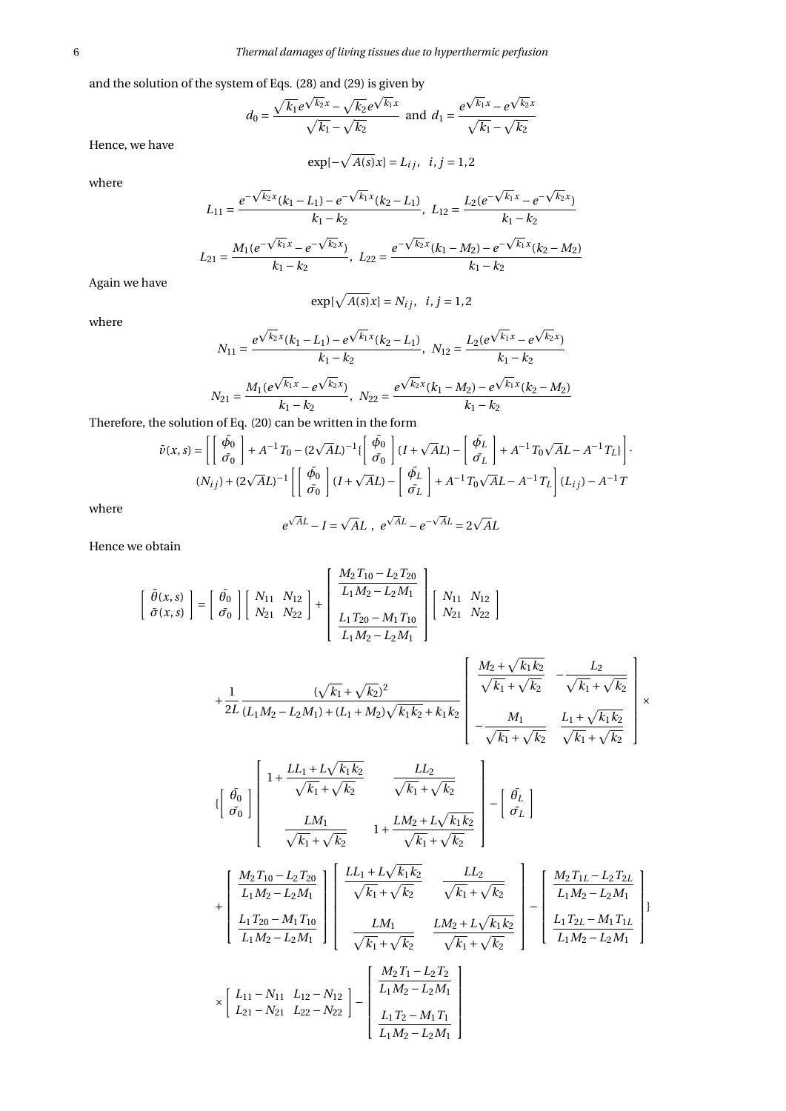and the solution of the system of Eqs. (28) and (29) is given by<br>—

$$
d_0 = \frac{\sqrt{k_1}e^{\sqrt{k_2}x} - \sqrt{k_2}e^{\sqrt{k_1}x}}{\sqrt{k_1} - \sqrt{k_2}} \text{ and } d_1 = \frac{e^{\sqrt{k_1}x} - e^{\sqrt{k_2}x}}{\sqrt{k_1} - \sqrt{k_2}}
$$

Hence, we have

 $\exp[-\sqrt{A(s)}x] = L_{ij}, \ \ i, j = 1, 2$ 

where

$$
L_{11} = \frac{e^{-\sqrt{k_2}x}(k_1 - L_1) - e^{-\sqrt{k_1}x}(k_2 - L_1)}{k_1 - k_2}, \ L_{12} = \frac{L_2(e^{-\sqrt{k_1}x} - e^{-\sqrt{k_2}x})}{k_1 - k_2}
$$

$$
L_{21} = \frac{M_1(e^{-\sqrt{k_1}x} - e^{-\sqrt{k_2}x})}{k_1 - k_2}, \ L_{22} = \frac{e^{-\sqrt{k_2}x}(k_1 - M_2) - e^{-\sqrt{k_1}x}(k_2 - M_2)}{k_1 - k_2}
$$

Again we have

$$
\exp[\sqrt{A(s)}x] = N_{ij}, \quad i, j = 1, 2
$$

where

$$
N_{11} = \frac{e^{\sqrt{k_2}x}(k_1 - L_1) - e^{\sqrt{k_1}x}(k_2 - L_1)}{k_1 - k_2}, \ N_{12} = \frac{L_2(e^{\sqrt{k_1}x} - e^{\sqrt{k_2}x})}{k_1 - k_2}
$$

$$
N_{21} = \frac{M_1(e^{\sqrt{k_1}x} - e^{\sqrt{k_2}x})}{k_1 - k_2}, \ N_{22} = \frac{e^{\sqrt{k_2}x}(k_1 - M_2) - e^{\sqrt{k_1}x}(k_2 - M_2)}{k_1 - k_2}
$$

Therefore, the solution of Eq. (20) can be written in the form

$$
\bar{\nu}(x,s) = \left[ \left[ \begin{array}{c} \bar{\phi}_0 \\ \bar{\sigma}_0 \end{array} \right] + A^{-1}T_0 - (2\sqrt{A}L)^{-1} \{ \left[ \begin{array}{c} \bar{\phi}_0 \\ \bar{\sigma}_0 \end{array} \right] (I + \sqrt{A}L) - \left[ \begin{array}{c} \bar{\phi}_L \\ \bar{\sigma}_L \end{array} \right] + A^{-1}T_0\sqrt{A}L - A^{-1}T_L \} \right].
$$
  

$$
(N_{ij}) + (2\sqrt{A}L)^{-1} \left[ \left[ \begin{array}{c} \bar{\phi}_0 \\ \bar{\sigma}_0 \end{array} \right] (I + \sqrt{A}L) - \left[ \begin{array}{c} \bar{\phi}_L \\ \bar{\sigma}_L \end{array} \right] + A^{-1}T_0\sqrt{A}L - A^{-1}T_L \right] (L_{ij}) - A^{-1}T
$$

where

$$
e^{\sqrt{A}L} - I = \sqrt{A}L , e^{\sqrt{A}L} - e^{-\sqrt{A}L} = 2\sqrt{A}L
$$

Hence we obtain

$$
\begin{bmatrix}\n\bar{\theta}(x,s) \\
\bar{\sigma}(x,s)\n\end{bmatrix} = \begin{bmatrix}\n\bar{\theta_0} \\
\bar{\sigma_0}\n\end{bmatrix} \begin{bmatrix}\nN_{11} & N_{12} \\
N_{21} & N_{22}\n\end{bmatrix} + \begin{bmatrix}\n\frac{M_2 T_{10} - L_2 T_{20}}{L_1 M_2 - L_2 M_1} \\
\frac{L_1 T_{20} - M_1 T_{10}}{L_1 M_2 - L_2 M_1}\n\end{bmatrix} \begin{bmatrix}\nN_{11} & N_{12} \\
N_{21} & N_{22}\n\end{bmatrix}
$$

$$
+\frac{1}{2L}\frac{(\sqrt{k_1}+\sqrt{k_2})^2}{(L_1M_2-L_2M_1)+(L_1+M_2)\sqrt{k_1k_2}+k_1k_2}\left[\begin{array}{cc} \frac{M_2+\sqrt{k_1k_2}}{\sqrt{k_1}+\sqrt{k_2}} & -\frac{L_2}{\sqrt{k_1}+\sqrt{k_2}} \\ -\frac{M_1}{\sqrt{k_1}+\sqrt{k_2}} & \frac{L_1+\sqrt{k_1k_2}}{\sqrt{k_1}+\sqrt{k_2}} \end{array}\right]\times
$$

 $\mathbf{r}$ 

$$
\left\{ \begin{array}{ccc} \left[ \begin{array}{cc} \bar{\theta_{0}} \\ \bar{\sigma_{0}} \end{array} \right] \left[ \begin{array}{ccc} 1 + \frac{LL_{1} + L\sqrt{k_{1}k_{2}}}{\sqrt{k_{1}} + \sqrt{k_{2}}} & \frac{LL_{2}}{\sqrt{k_{1}} + \sqrt{k_{2}}} \\ & \frac{LM_{1}}{\sqrt{k_{1}} + \sqrt{k_{2}}} & 1 + \frac{LM_{2} + L\sqrt{k_{1}k_{2}}}{\sqrt{k_{1}} + \sqrt{k_{2}}} \end{array} \right] - \left[ \begin{array}{c} \bar{\theta_{L}} \\ \bar{\sigma_{L}} \end{array} \right] \end{array}
$$

$$
+\left[\begin{array}{c} \frac{M_{2}T_{10}-L_{2}T_{20}}{L_{1}M_{2}-L_{2}M_{1}} \\ \frac{L_{1}T_{20}-M_{1}T_{10}}{L_{1}M_{2}-L_{2}M_{1}} \end{array}\right]\left[\begin{array}{cc} \frac{LL_{1}+L\sqrt{k_{1}k_{2}}}{\sqrt{k_{1}}+\sqrt{k_{2}}} & \frac{LL_{2}}{\sqrt{k_{1}}+\sqrt{k_{2}}} \\ \frac{LM_{1}}{\sqrt{k_{1}}+\sqrt{k_{2}}} & \frac{LM_{2}+L\sqrt{k_{1}k_{2}}}{\sqrt{k_{1}}+\sqrt{k_{2}}} \end{array}\right]-\left[\begin{array}{c} \frac{M_{2}T_{1L}-L_{2}T_{2L}}{L_{1}M_{2}-L_{2}M_{1}} \\ \frac{L_{1}T_{2L}-M_{1}T_{1L}}{L_{1}M_{2}-L_{2}M_{1}} \end{array}\right];
$$
  

$$
\times\left[\begin{array}{cc} L_{11}-N_{11} & L_{12}-N_{12} \\ L_{21}-N_{21} & L_{22}-N_{22} \end{array}\right]-\left[\begin{array}{c} \frac{M_{2}T_{1}-L_{2}T_{2}}{L_{1}M_{2}-L_{2}M_{1}} \\ \frac{L_{1}T_{2}-M_{1}T_{1}}{L_{1}M_{2}-L_{2}M_{1}} \end{array}\right]
$$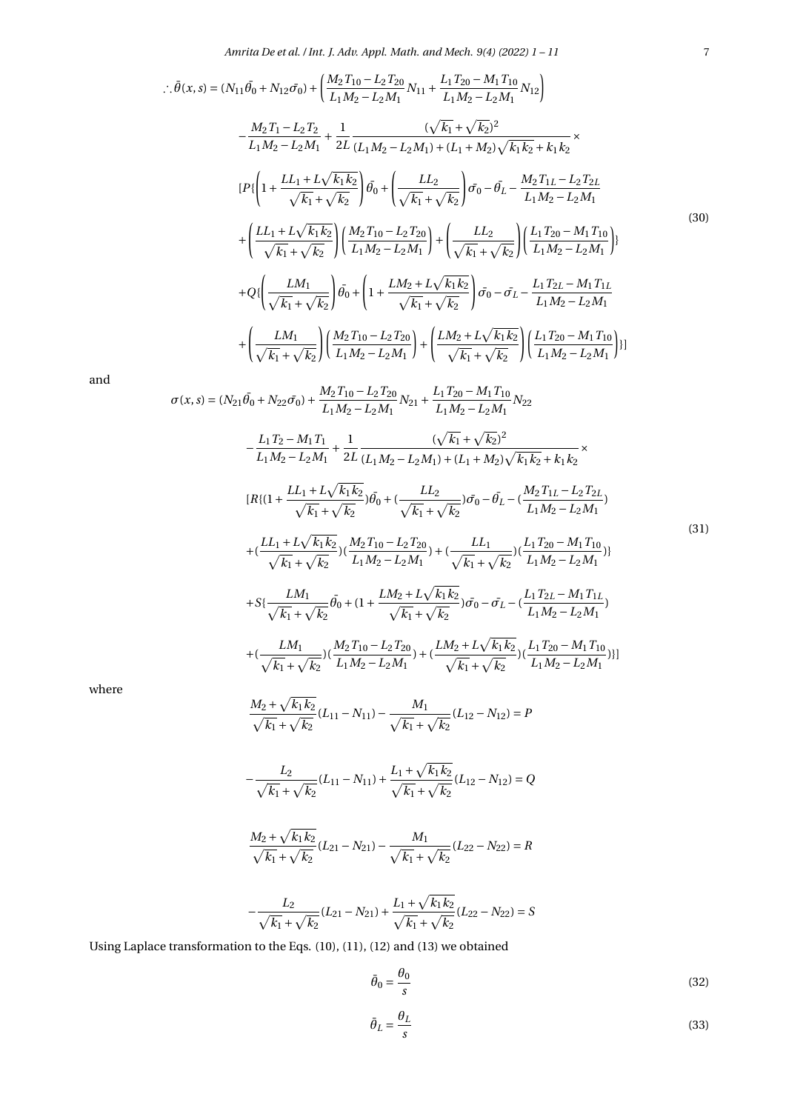*Amrita De et al. / Int. J. Adv. Appl. Math. and Mech. 9(4) (2022) 1 – 11* 7

$$
\begin{split}\n\therefore \bar{\theta}(x,s) &= (N_{11}\bar{\theta}_{0} + N_{12}\bar{\sigma}_{0}) + \left(\frac{M_{2}T_{10} - L_{2}T_{20}}{L_{1}M_{2} - L_{2}M_{1}}N_{11} + \frac{L_{1}T_{20} - M_{1}T_{10}}{L_{1}M_{2} - L_{2}M_{1}}N_{12}\right) \\
&- \frac{M_{2}T_{1} - L_{2}T_{2}}{L_{1}M_{2} - L_{2}M_{1}} + \frac{1}{2L} \frac{(\sqrt{k_{1}} + \sqrt{k_{2}})^{2}}{(L_{1}M_{2} - L_{2}M_{1}) + (L_{1} + M_{2})\sqrt{k_{1}k_{2}} + k_{1}k_{2}} \times \\
&[P\{\left(1 + \frac{L_{1} + L\sqrt{k_{1}k_{2}}}{\sqrt{k_{1}} + \sqrt{k_{2}}}\right)\bar{\theta}_{0} + \left(\frac{L_{2}}{\sqrt{k_{1}} + \sqrt{k_{2}}}\right)\bar{\sigma}_{0} - \bar{\theta}_{L} - \frac{M_{2}T_{1L} - L_{2}T_{2L}}{L_{1}M_{2} - L_{2}M_{1}} \\
&+ \left(\frac{L_{1} + L\sqrt{k_{1}k_{2}}}{\sqrt{k_{1}} + \sqrt{k_{2}}}\right)\left(\frac{M_{2}T_{10} - L_{2}T_{20}}{L_{1}M_{2} - L_{2}M_{1}}\right) + \left(\frac{L_{2}}{\sqrt{k_{1}} + \sqrt{k_{2}}}\right)\left(\frac{L_{1}T_{20} - M_{1}T_{10}}{L_{1}M_{2} - L_{2}M_{1}}\right)\right\} \\
&+ Q\{\left(\frac{L M_{1}}{\sqrt{k_{1}} + \sqrt{k_{2}}}\right)\bar{\theta}_{0} + \left(1 + \frac{L M_{2} + L\sqrt{k_{1}k_{2}}}{\sqrt{k_{1}} + \sqrt{k_{2}}}\right)\bar{\sigma}_{0} - \bar{\sigma}_{L} - \frac{L_{1}T_{2L} - M_{1}T_{1L}}{L_{1}M_{2} - L_{2}M_{1}} \\
&+ \left(\frac{L M_{1}}{\sqrt{k_{1}} + \sqrt{k_{2}}}\right)\left(\frac{M_{2}T_{10} - L_{2}T_{20}}{L_{1}M_{2} - L_{2}M_{1
$$

and

$$
L_{1}S_{1}(s) = (N_{21}\bar{\theta}_{0} + N_{22}\bar{\sigma}_{0}) + \frac{M_{2}T_{10} - L_{2}T_{20}}{L_{1}M_{2} - L_{2}M_{1}}N_{21} + \frac{L_{1}T_{20} - M_{1}T_{10}}{L_{1}M_{2} - L_{2}M_{1}}N_{22}
$$
  

$$
- \frac{L_{1}T_{2} - M_{1}T_{1}}{L_{1}M_{2} - L_{2}M_{1}} + \frac{1}{2L} \frac{(\sqrt{k_{1}} + \sqrt{k_{2}})^{2}}{(L_{1}M_{2} - L_{2}M_{1}) + (L_{1} + M_{2})\sqrt{k_{1}k_{2}} + k_{1}k_{2}} \times
$$
  

$$
[R\{(1 + \frac{L_{1} + L\sqrt{k_{1}k_{2}}}{\sqrt{k_{1}} + \sqrt{k_{2}}})\theta_{0}^{2} + (\frac{L_{2}}{\sqrt{k_{1}} + \sqrt{k_{2}}})\sigma_{0} - \bar{\theta}_{L} - (\frac{M_{2}T_{1L} - L_{2}T_{2L}}{L_{1}M_{2} - L_{2}M_{1}})\times
$$
  

$$
+ (\frac{L_{1} + L\sqrt{k_{1}k_{2}}}{\sqrt{k_{1}} + \sqrt{k_{2}}})(\frac{M_{2}T_{10} - L_{2}T_{20}}{L_{1}M_{2} - L_{2}M_{1}}) + (\frac{L_{1}}{\sqrt{k_{1}} + \sqrt{k_{2}}})(\frac{L_{1}T_{20} - M_{1}T_{10}}{L_{1}M_{2} - L_{2}M_{1}})\times
$$
  

$$
+ S\{\frac{LM_{1}}{\sqrt{k_{1}} + \sqrt{k_{2}}}\theta_{0} + (1 + \frac{LM_{2} + L\sqrt{k_{1}k_{2}}}{\sqrt{k_{1}} + \sqrt{k_{2}}})\sigma_{0} - \bar{\sigma}_{L} - (\frac{L_{1}T_{2L} - M_{1}T_{1L}}{L_{1}M_{2} - L_{2}M_{1}})\times
$$
  

$$
+ (\frac{LM_{1}}{\sqrt{k_{1}} + \sqrt{k_{2}}})(\frac{M_{2}T_{10} - L_{2}T_{20}}{L_{1}M_{2} - L_{2}M_{1}}) + (\frac{LM_{2} + L
$$

where

$$
\frac{M_2 + \sqrt{k_1 k_2}}{\sqrt{k_1} + \sqrt{k_2}} (L_{11} - N_{11}) - \frac{M_1}{\sqrt{k_1} + \sqrt{k_2}} (L_{12} - N_{12}) = P
$$

$$
-\frac{L_2}{\sqrt{k_1} + \sqrt{k_2}}(L_{11} - N_{11}) + \frac{L_1 + \sqrt{k_1 k_2}}{\sqrt{k_1} + \sqrt{k_2}}(L_{12} - N_{12}) = Q
$$

$$
\frac{M_2 + \sqrt{k_1 k_2}}{\sqrt{k_1} + \sqrt{k_2}} (L_{21} - N_{21}) - \frac{M_1}{\sqrt{k_1} + \sqrt{k_2}} (L_{22} - N_{22}) = R
$$

$$
-\frac{L_2}{\sqrt{k_1} + \sqrt{k_2}}(L_{21} - N_{21}) + \frac{L_1 + \sqrt{k_1 k_2}}{\sqrt{k_1} + \sqrt{k_2}}(L_{22} - N_{22}) = S
$$

Using Laplace transformation to the Eqs. (10), (11), (12) and (13) we obtained

$$
\bar{\theta}_0 = \frac{\theta_0}{s} \tag{32}
$$

$$
\bar{\theta}_L = \frac{\theta_L}{s} \tag{33}
$$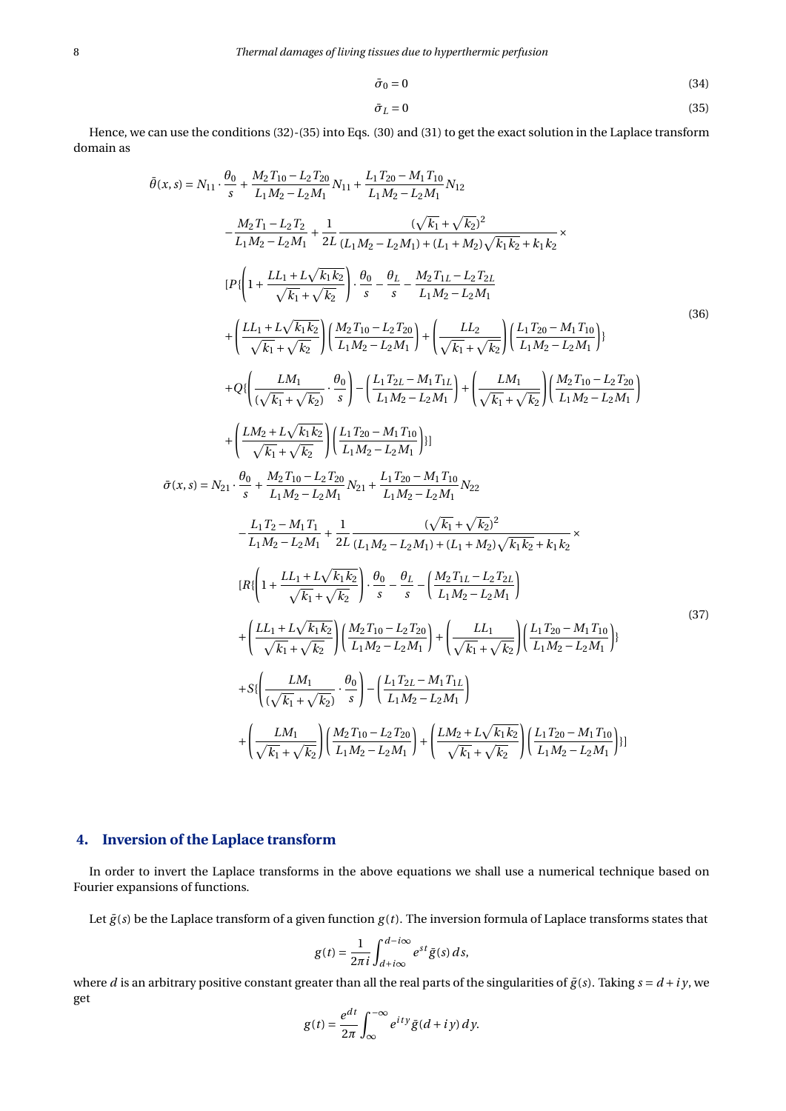$$
\bar{\sigma}_0 = 0 \tag{34}
$$

$$
\bar{\sigma}_L = 0 \tag{35}
$$

Hence, we can use the conditions (32)-(35) into Eqs. (30) and (31) to get the exact solution in the Laplace transform domain as

$$
\tilde{\theta}(x,s) = N_{11} \cdot \frac{\theta_{0}}{s} + \frac{M_{2}T_{10} - L_{2}T_{20}}{L_{1}M_{2} - L_{2}M_{1}} N_{11} + \frac{L_{1}T_{20} - M_{1}T_{10}}{L_{1}M_{2} - L_{2}M_{1}} N_{12}
$$
\n
$$
- \frac{M_{2}T_{1} - L_{2}T_{2}}{L_{1}M_{2} - L_{2}M_{1}} + \frac{1}{2L} \frac{(\sqrt{k_{1}} + \sqrt{k_{2}})^{2}}{(L_{1}M_{2} - L_{2}M_{1}) + (L_{1} + M_{2})\sqrt{k_{1}k_{2}} + k_{1}k_{2}} \times
$$
\n
$$
|P\left(1 + \frac{L_{L_{1}} + L\sqrt{k_{1}k_{2}}}{\sqrt{k_{1}} + \sqrt{k_{2}}}\right) \cdot \frac{\theta_{0}}{s} - \frac{\theta_{L}}{s} - \frac{M_{2}T_{1L} - L_{2}T_{2L}}{L_{1}M_{2} - L_{2}M_{1}}
$$
\n
$$
+ \left(\frac{L_{L_{1}} + L\sqrt{k_{1}k_{2}}}{\sqrt{k_{1}} + \sqrt{k_{2}}}\right) \left(\frac{M_{2}T_{10} - L_{2}T_{20}}{L_{1}M_{2} - L_{2}M_{1}}\right) + \left(\frac{L_{L_{2}}}{\sqrt{k_{1}} + \sqrt{k_{2}}}\right) \left(\frac{L_{1}T_{20} - M_{1}T_{10}}{L_{1}M_{2} - L_{2}M_{1}}\right)
$$
\n
$$
+ Q\left(\frac{LM_{1}}{(\sqrt{k_{1}} + \sqrt{k_{2}})} \cdot \frac{\theta_{0}}{s}\right) - \left(\frac{L_{1}T_{2L} - M_{1}T_{1L}}{L_{1}M_{2} - L_{2}M_{1}}\right) + \left(\frac{LM_{1}}{\sqrt{k_{1}} + \sqrt{k_{2}}}\right) \left(\frac{M_{2}T_{10} - L_{2}T_{20}}{L_{1}M_{2} - L_{2}M_{1}}\right)
$$
\n
$$
+ \left(\frac{LM_{2} + L\sqrt{k_{1}k_{2}}}{\sqrt{k_{1}} + \sqrt{k_{2}}}\right) \left(\frac{L_{1}T_{2
$$

# **4. Inversion of the Laplace transform**

In order to invert the Laplace transforms in the above equations we shall use a numerical technique based on Fourier expansions of functions.

Let  $\bar{g}(s)$  be the Laplace transform of a given function  $g(t)$ . The inversion formula of Laplace transforms states that

$$
g(t) = \frac{1}{2\pi i} \int_{d+i\infty}^{d-i\infty} e^{st} \bar{g}(s) \, ds,
$$

where *d* is an arbitrary positive constant greater than all the real parts of the singularities of  $\bar{g}(s)$ . Taking  $s = d + iy$ , we get *d t*

$$
g(t) = \frac{e^{dt}}{2\pi} \int_{\infty}^{-\infty} e^{ity} \bar{g}(d+iy) dy.
$$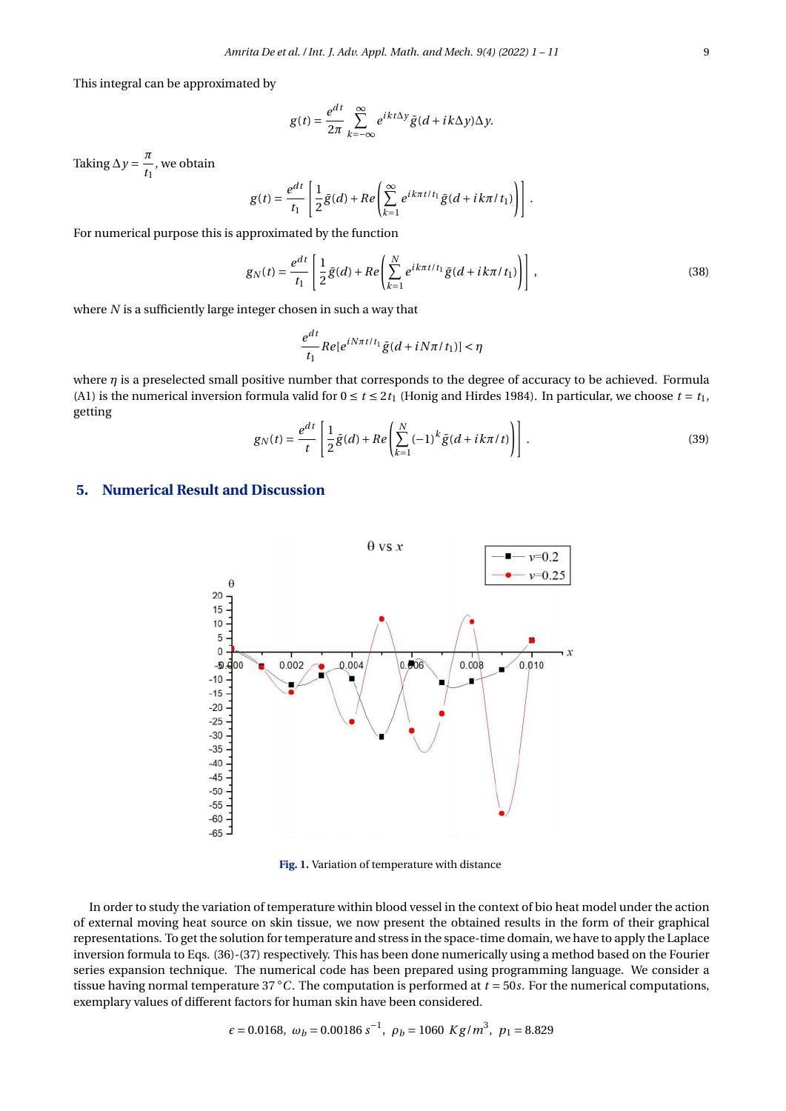This integral can be approximated by

$$
g(t) = \frac{e^{dt}}{2\pi} \sum_{k=-\infty}^{\infty} e^{ikt\Delta y} \bar{g}(d+ik\Delta y) \Delta y.
$$

Taking  $\Delta y = \frac{\pi}{4}$  $\frac{1}{t_1}$ , we obtain

$$
g(t) = \frac{e^{dt}}{t_1} \left[ \frac{1}{2} \bar{g}(d) + Re \left( \sum_{k=1}^{\infty} e^{ik\pi t / t_1} \bar{g}(d + ik\pi / t_1) \right) \right].
$$

For numerical purpose this is approximated by the function

$$
g_N(t) = \frac{e^{dt}}{t_1} \left[ \frac{1}{2} \bar{g}(d) + Re \left( \sum_{k=1}^N e^{ik\pi t / t_1} \bar{g}(d + ik\pi / t_1) \right) \right],
$$
 (38)

where *N* is a sufficiently large integer chosen in such a way that

$$
\frac{e^{dt}}{t_1}Re[e^{iN\pi t/t_1}\bar{g}(d+iN\pi/t_1)] < \eta
$$

where  $\eta$  is a preselected small positive number that corresponds to the degree of accuracy to be achieved. Formula (A1) is the numerical inversion formula valid for  $0 \le t \le 2t_1$  (Honig and Hirdes 1984). In particular, we choose  $t = t_1$ , getting

$$
g_N(t) = \frac{e^{dt}}{t} \left[ \frac{1}{2} \bar{g}(d) + Re \left( \sum_{k=1}^N (-1)^k \bar{g}(d + ik\pi/t) \right) \right].
$$
 (39)

## <span id="page-8-0"></span>**5. Numerical Result and Discussion**



**Fig. 1.** Variation of temperature with distance

In order to study the variation of temperature within blood vessel in the context of bio heat model under the action of external moving heat source on skin tissue, we now present the obtained results in the form of their graphical representations. To get the solution for temperature and stress in the space-time domain, we have to apply the Laplace inversion formula to Eqs. (36)-(37) respectively. This has been done numerically using a method based on the Fourier series expansion technique. The numerical code has been prepared using programming language. We consider a tissue having normal temperature 37 ◦*C*. The computation is performed at *t* = 50*s*. For the numerical computations, exemplary values of different factors for human skin have been considered.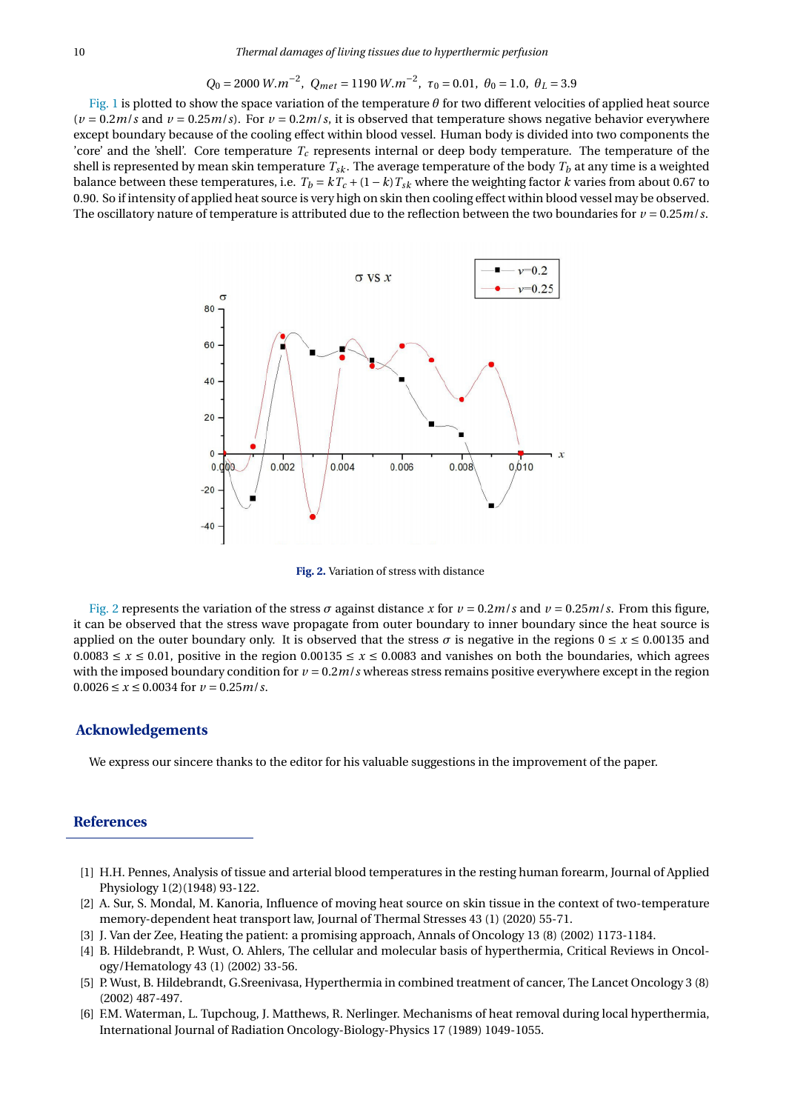$$
Q_0 = 2000 \ W.m^{-2}
$$
,  $Q_{met} = 1190 \ W.m^{-2}$ ,  $\tau_0 = 0.01$ ,  $\theta_0 = 1.0$ ,  $\theta_L = 3.9$ 

[Fig. 1](#page-8-0) is plotted to show the space variation of the temperature *θ* for two different velocities of applied heat source  $(v = 0.2*m*/s$  and  $v = 0.25*m*/s)$ . For  $v = 0.2*m*/s$ , it is observed that temperature shows negative behavior everywhere except boundary because of the cooling effect within blood vessel. Human body is divided into two components the 'core' and the 'shell'. Core temperature  $T_c$  represents internal or deep body temperature. The temperature of the shell is represented by mean skin temperature  $T_{sk}$ . The average temperature of the body  $T_b$  at any time is a weighted balance between these temperatures, i.e.  $T_b = kT_c + (1 - k)T_{sk}$  where the weighting factor *k* varies from about 0.67 to 0.90. So if intensity of applied heat source is very high on skin then cooling effect within blood vessel may be observed. The oscillatory nature of temperature is attributed due to the reflection between the two boundaries for  $v = 0.25 m/s$ .

<span id="page-9-6"></span>

**Fig. 2.** Variation of stress with distance

[Fig. 2](#page-9-6) represents the variation of the stress *σ* against distance *x* for  $ν = 0.2*m/s*$  and  $ν = 0.25*m/s*$ . From this figure, it can be observed that the stress wave propagate from outer boundary to inner boundary since the heat source is applied on the outer boundary only. It is observed that the stress  $\sigma$  is negative in the regions  $0 \le x \le 0.00135$  and 0.0083 ≤ *x* ≤ 0.01, positive in the region 0.00135 ≤ *x* ≤ 0.0083 and vanishes on both the boundaries, which agrees with the imposed boundary condition for  $\nu = 0.2 m/s$  whereas stress remains positive everywhere except in the region  $0.0026 \le x \le 0.0034$  for  $v = 0.25$ *m/s*.

#### **Acknowledgements**

We express our sincere thanks to the editor for his valuable suggestions in the improvement of the paper.

## **References**

- <span id="page-9-0"></span>[1] H.H. Pennes, Analysis of tissue and arterial blood temperatures in the resting human forearm, Journal of Applied Physiology 1(2)(1948) 93-122.
- <span id="page-9-1"></span>[2] A. Sur, S. Mondal, M. Kanoria, Influence of moving heat source on skin tissue in the context of two-temperature memory-dependent heat transport law, Journal of Thermal Stresses 43 (1) (2020) 55-71.
- <span id="page-9-2"></span>[3] J. Van der Zee, Heating the patient: a promising approach, Annals of Oncology 13 (8) (2002) 1173-1184.
- <span id="page-9-3"></span>[4] B. Hildebrandt, P. Wust, O. Ahlers, The cellular and molecular basis of hyperthermia, Critical Reviews in Oncology/Hematology 43 (1) (2002) 33-56.
- <span id="page-9-4"></span>[5] P. Wust, B. Hildebrandt, G.Sreenivasa, Hyperthermia in combined treatment of cancer, The Lancet Oncology 3 (8) (2002) 487-497.
- <span id="page-9-5"></span>[6] F.M. Waterman, L. Tupchoug, J. Matthews, R. Nerlinger. Mechanisms of heat removal during local hyperthermia, International Journal of Radiation Oncology-Biology-Physics 17 (1989) 1049-1055.